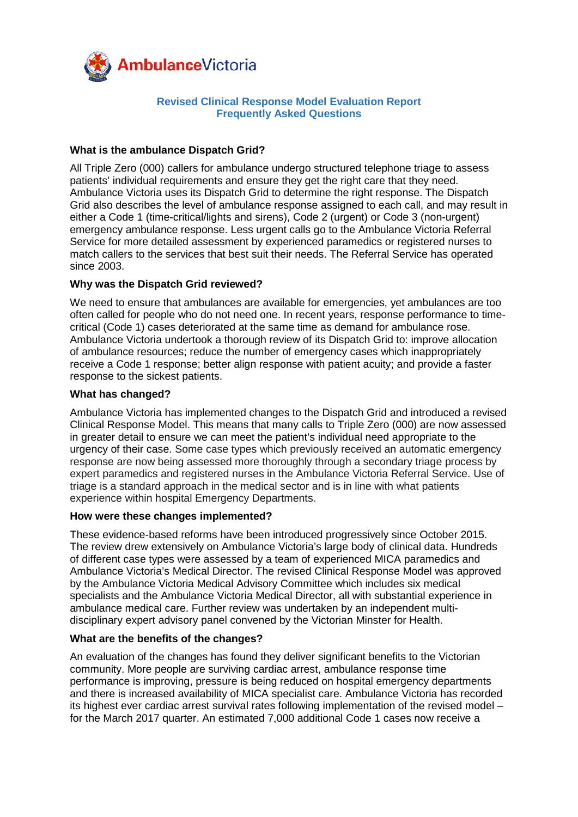

# **Revised Clinical Response Model Evaluation Report Frequently Asked Questions**

## **What is the ambulance Dispatch Grid?**

All Triple Zero (000) callers for ambulance undergo structured telephone triage to assess patients' individual requirements and ensure they get the right care that they need. Ambulance Victoria uses its Dispatch Grid to determine the right response. The Dispatch Grid also describes the level of ambulance response assigned to each call, and may result in either a Code 1 (time-critical/lights and sirens), Code 2 (urgent) or Code 3 (non-urgent) emergency ambulance response. Less urgent calls go to the Ambulance Victoria Referral Service for more detailed assessment by experienced paramedics or registered nurses to match callers to the services that best suit their needs. The Referral Service has operated since 2003.

# **Why was the Dispatch Grid reviewed?**

We need to ensure that ambulances are available for emergencies, yet ambulances are too often called for people who do not need one. In recent years, response performance to timecritical (Code 1) cases deteriorated at the same time as demand for ambulance rose. Ambulance Victoria undertook a thorough review of its Dispatch Grid to: improve allocation of ambulance resources; reduce the number of emergency cases which inappropriately receive a Code 1 response; better align response with patient acuity; and provide a faster response to the sickest patients.

### **What has changed?**

Ambulance Victoria has implemented changes to the Dispatch Grid and introduced a revised Clinical Response Model. This means that many calls to Triple Zero (000) are now assessed in greater detail to ensure we can meet the patient's individual need appropriate to the urgency of their case. Some case types which previously received an automatic emergency response are now being assessed more thoroughly through a secondary triage process by expert paramedics and registered nurses in the Ambulance Victoria Referral Service. Use of triage is a standard approach in the medical sector and is in line with what patients experience within hospital Emergency Departments.

#### **How were these changes implemented?**

These evidence-based reforms have been introduced progressively since October 2015. The review drew extensively on Ambulance Victoria's large body of clinical data. Hundreds of different case types were assessed by a team of experienced MICA paramedics and Ambulance Victoria's Medical Director. The revised Clinical Response Model was approved by the Ambulance Victoria Medical Advisory Committee which includes six medical specialists and the Ambulance Victoria Medical Director, all with substantial experience in ambulance medical care. Further review was undertaken by an independent multidisciplinary expert advisory panel convened by the Victorian Minster for Health.

# **What are the benefits of the changes?**

An evaluation of the changes has found they deliver significant benefits to the Victorian community. More people are surviving cardiac arrest, ambulance response time performance is improving, pressure is being reduced on hospital emergency departments and there is increased availability of MICA specialist care. Ambulance Victoria has recorded its highest ever cardiac arrest survival rates following implementation of the revised model – for the March 2017 quarter. An estimated 7,000 additional Code 1 cases now receive a